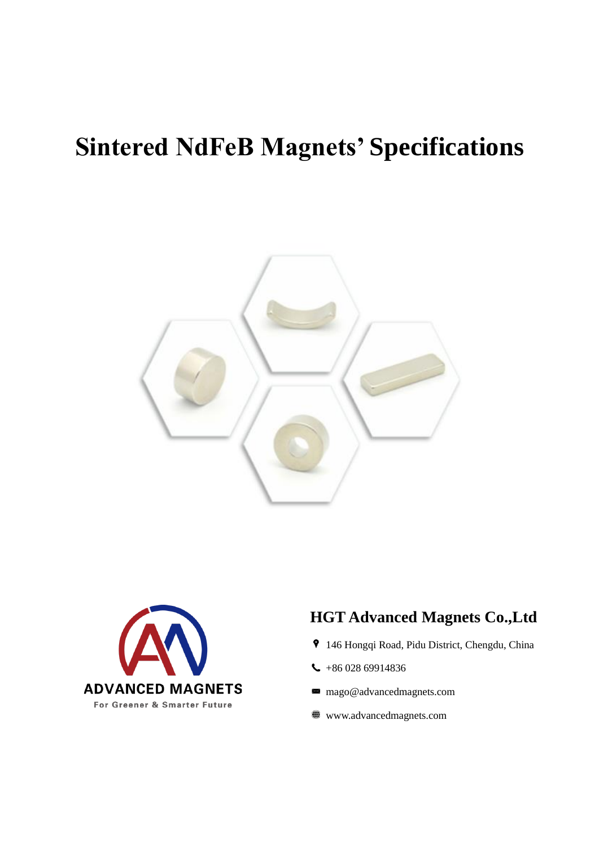# **Sintered NdFeB Magnets' Specifications**





### **HGT Advanced Magnets Co.,Ltd**

- 146 Hongqi Road, Pidu District, Chengdu, China
- $-18602869914836$
- mago@advancedmagnets.com  $\asymp$
- www.advancedmagnets.com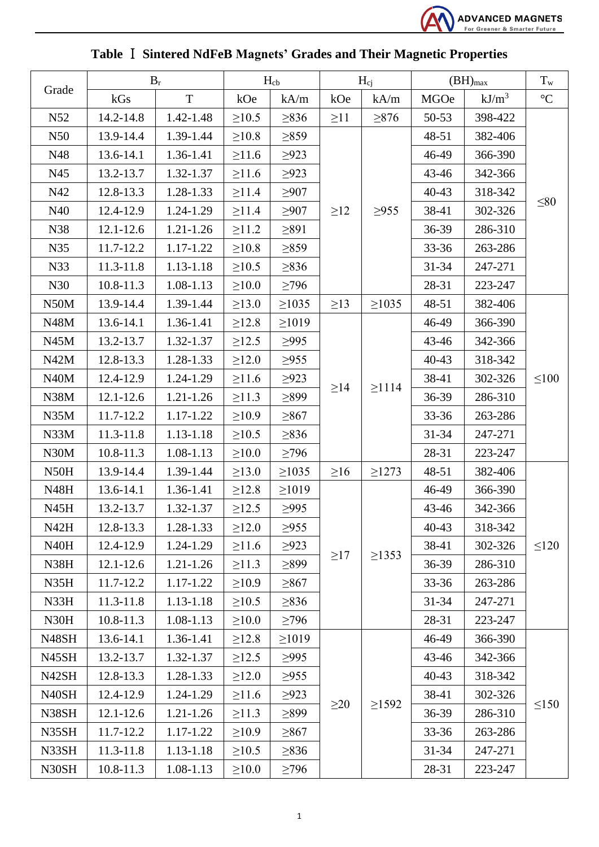

|                    |               | $B_r$         |             | $H_{cb}$    |           | $H_{ci}$    | $(BH)_{max}$ |          | $T_{w}$         |
|--------------------|---------------|---------------|-------------|-------------|-----------|-------------|--------------|----------|-----------------|
| Grade              | kGs           | T             | kOe         | kA/m        | kOe       | kA/m        | <b>MGOe</b>  | $kJ/m^3$ | $\rm ^{\circ}C$ |
| N <sub>52</sub>    | 14.2-14.8     | 1.42-1.48     | $\geq 10.5$ | $\geq$ 836  | $\geq$ 11 | $\geq 876$  | 50-53        | 398-422  |                 |
| N50                | 13.9-14.4     | 1.39-1.44     | $\geq 10.8$ | $\geq 859$  |           |             | 48-51        | 382-406  |                 |
| N48                | 13.6-14.1     | 1.36-1.41     | $\geq 11.6$ | $\geq 923$  |           |             | 46-49        | 366-390  |                 |
| N45                | 13.2-13.7     | 1.32-1.37     | $\geq 11.6$ | $\geq$ 923  |           |             | 43-46        | 342-366  |                 |
| N42                | 12.8-13.3     | 1.28-1.33     | $\geq 11.4$ | $\geq 907$  |           |             | $40 - 43$    | 318-342  |                 |
| N40                | 12.4-12.9     | 1.24-1.29     | $\geq 11.4$ | $\geq 907$  | $\geq$ 12 | $\geq$ 955  | 38-41        | 302-326  | $\leq 80$       |
| N38                | $12.1 - 12.6$ | $1.21 - 1.26$ | $\geq 11.2$ | $\geq 891$  |           |             | 36-39        | 286-310  |                 |
| N35                | 11.7-12.2     | 1.17-1.22     | $\geq 10.8$ | $\geq$ 859  |           |             | 33-36        | 263-286  |                 |
| N33                | 11.3-11.8     | 1.13-1.18     | $\geq 10.5$ | $\geq$ 836  |           |             | $31 - 34$    | 247-271  |                 |
| N30                | 10.8-11.3     | 1.08-1.13     | $\geq 10.0$ | $\geq$ 796  |           |             | 28-31        | 223-247  |                 |
| N50M               | 13.9-14.4     | 1.39-1.44     | $\geq 13.0$ | $\geq 1035$ | $\geq$ 13 | $\geq 1035$ | 48-51        | 382-406  |                 |
| N48M               | 13.6-14.1     | 1.36-1.41     | $\geq 12.8$ | $\geq 1019$ |           |             | 46-49        | 366-390  | $\leq 100$      |
| N45M               | 13.2-13.7     | 1.32-1.37     | $\geq 12.5$ | $\geq$ 995  |           |             | 43-46        | 342-366  |                 |
| N42M               | 12.8-13.3     | 1.28-1.33     | $\geq 12.0$ | $\geq$ 955  |           |             | $40 - 43$    | 318-342  |                 |
| N40M               | 12.4-12.9     | 1.24-1.29     | $\geq 11.6$ | $\geq 923$  | $\geq$ 14 | $\geq$ 1114 | 38-41        | 302-326  |                 |
| N38M               | $12.1 - 12.6$ | $1.21 - 1.26$ | $\geq 11.3$ | >899        |           |             | 36-39        | 286-310  |                 |
| N35M               | 11.7-12.2     | 1.17-1.22     | $\geq 10.9$ | $\geq 867$  |           |             | $33 - 36$    | 263-286  |                 |
| N33M               | 11.3-11.8     | 1.13-1.18     | $\geq 10.5$ | $\geq$ 836  |           |             | $31 - 34$    | 247-271  |                 |
| N30M               | 10.8-11.3     | 1.08-1.13     | $\geq 10.0$ | $\geq$ 796  |           |             | 28-31        | 223-247  |                 |
| N <sub>50</sub> H  | 13.9-14.4     | 1.39-1.44     | $\geq 13.0$ | $\geq 1035$ | $\geq 16$ | $\geq$ 1273 | 48-51        | 382-406  | $\leq 120$      |
| <b>N48H</b>        | 13.6-14.1     | 1.36-1.41     | $\geq 12.8$ | $\geq 1019$ |           |             | 46-49        | 366-390  |                 |
| N <sub>45</sub> H  | 13.2-13.7     | 1.32-1.37     | $\geq 12.5$ | >995        | $\geq$ 17 | $\geq$ 1353 | 43-46        | 342-366  |                 |
| N42H               | 12.8-13.3     | 1.28-1.33     | $\geq 12.0$ | $\geq$ 955  |           |             | $40 - 43$    | 318-342  |                 |
| N <sub>40</sub> H  | 12.4-12.9     | 1.24-1.29     | $\geq 11.6$ | $\geq$ 923  |           |             | 38-41        | 302-326  |                 |
| N38H               | $12.1 - 12.6$ | $1.21 - 1.26$ | $\geq 11.3$ | $\geq 899$  |           |             | 36-39        | 286-310  |                 |
| N35H               | 11.7-12.2     | 1.17-1.22     | $\geq 10.9$ | $\geq 867$  |           |             | $33 - 36$    | 263-286  |                 |
| N33H               | $11.3 - 11.8$ | 1.13-1.18     | $\geq 10.5$ | $\geq$ 836  |           |             | $31 - 34$    | 247-271  |                 |
| N30H               | $10.8 - 11.3$ | 1.08-1.13     | $\geq 10.0$ | $\geq$ 796  |           |             | 28-31        | 223-247  |                 |
| N48SH              | 13.6-14.1     | 1.36-1.41     | $\geq 12.8$ | $\geq 1019$ |           |             | 46-49        | 366-390  |                 |
| N <sub>45</sub> SH | 13.2-13.7     | 1.32-1.37     | $\geq 12.5$ | $\geq$ 995  | $\geq 20$ | $\geq$ 1592 | 43-46        | 342-366  |                 |
| N <sub>42</sub> SH | 12.8-13.3     | 1.28-1.33     | $\geq 12.0$ | $\geq$ 955  |           |             | $40 - 43$    | 318-342  |                 |
| N <sub>40</sub> SH | 12.4-12.9     | 1.24-1.29     | $\geq 11.6$ | $\geq 923$  |           |             | 38-41        | 302-326  | $\leq150$       |
| N38SH              | $12.1 - 12.6$ | $1.21 - 1.26$ | $\geq 11.3$ | $\geq 899$  |           |             | $36-39$      | 286-310  |                 |
| N35SH              | 11.7-12.2     | 1.17-1.22     | $\geq 10.9$ | $\geq 867$  |           |             | $33 - 36$    | 263-286  |                 |
| N33SH              | $11.3 - 11.8$ | 1.13-1.18     | $\geq 10.5$ | $\geq$ 836  |           |             | $31 - 34$    | 247-271  |                 |
| N30SH              | 10.8-11.3     | 1.08-1.13     | $\geq 10.0$ | $\geq$ 796  |           |             | 28-31        | 223-247  |                 |

## **Table** Ⅰ **Sintered NdFeB Magnets' Grades and Their Magnetic Properties**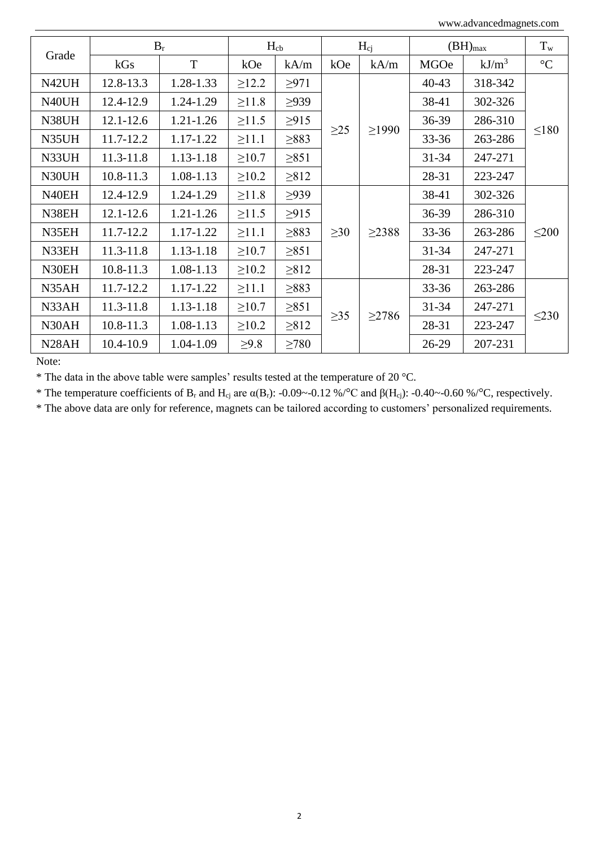www.advancedmagnets.com

|                    | $B_r$         |               | $H_{cb}$    |            | $H_{c}$   |             | $(BH)_{max}$ |           | $T_{w}$     |  |
|--------------------|---------------|---------------|-------------|------------|-----------|-------------|--------------|-----------|-------------|--|
| Grade              | kGs           | T             | kOe         | kA/m       | kOe       | kA/m        | <b>MGOe</b>  | $kJ/m^3$  | $^{\circ}C$ |  |
| N42UH              | 12.8-13.3     | 1.28-1.33     | $\geq 12.2$ | $\geq 971$ |           |             | $40 - 43$    | 318-342   | $\leq$ 180  |  |
| N40UH              | 12.4-12.9     | 1.24-1.29     | $\geq 11.8$ | $\geq$ 939 |           |             | 38-41        | 302-326   |             |  |
| N38UH              | $12.1 - 12.6$ | $1.21 - 1.26$ | $\geq 11.5$ | $\geq$ 915 |           |             | $36-39$      | 286-310   |             |  |
| N35UH              | 11.7-12.2     | 1.17-1.22     | $\geq 11.1$ | $\geq 883$ | $\geq$ 25 | $\geq$ 1990 | $33 - 36$    | 263-286   |             |  |
| N33UH              | 11.3-11.8     | 1.13-1.18     | $\geq 10.7$ | $\geq 851$ |           |             |              | $31 - 34$ | 247-271     |  |
| N30UH              | $10.8 - 11.3$ | 1.08-1.13     | $\geq 10.2$ | $\geq 812$ |           |             | 28-31        | 223-247   |             |  |
| N40EH              | 12.4-12.9     | 1.24-1.29     | $\geq 11.8$ | $\geq$ 939 | $\geq 30$ | $\geq$ 2388 | 38-41        | 302-326   | $\leq 200$  |  |
| N38EH              | $12.1 - 12.6$ | $1.21 - 1.26$ | $\geq 11.5$ | $\geq$ 915 |           |             | 36-39        | 286-310   |             |  |
| N35EH              | 11.7-12.2     | 1.17-1.22     | $\geq 11.1$ | $\geq$ 883 |           |             | $33 - 36$    | 263-286   |             |  |
| N33EH              | 11.3-11.8     | 1.13-1.18     | $\geq 10.7$ | $\geq 851$ |           |             | $31 - 34$    | 247-271   |             |  |
| N30EH              | $10.8 - 11.3$ | 1.08-1.13     | $\geq 10.2$ | $\geq 812$ |           |             | 28-31        | 223-247   |             |  |
| N35AH              | 11.7-12.2     | 1.17-1.22     | $\geq 11.1$ | $\geq$ 883 | $\geq 35$ | $\geq$ 2786 | $33 - 36$    | 263-286   |             |  |
| N33AH              | 11.3-11.8     | 1.13-1.18     | $\geq 10.7$ | $\geq 851$ |           |             | $31 - 34$    | 247-271   | $\leq$ 230  |  |
| N30AH              | $10.8 - 11.3$ | 1.08-1.13     | $\geq 10.2$ | $\geq 812$ |           |             | 28-31        | 223-247   |             |  |
| N <sub>28</sub> AH | 10.4-10.9     | 1.04-1.09     | $\geq 9.8$  | $\geq 780$ |           |             | 26-29        | 207-231   |             |  |

Note:

\* The data in the above table were samples' results tested at the temperature of 20 °C.

\* The temperature coefficients of  $B_r$  and  $H_{ci}$  are  $\alpha(B_r)$ : -0.09~-0.12 %/°C and  $\beta(H_{ci})$ : -0.40~-0.60 %/°C, respectively.

\* The above data are only for reference, magnets can be tailored according to customers' personalized requirements.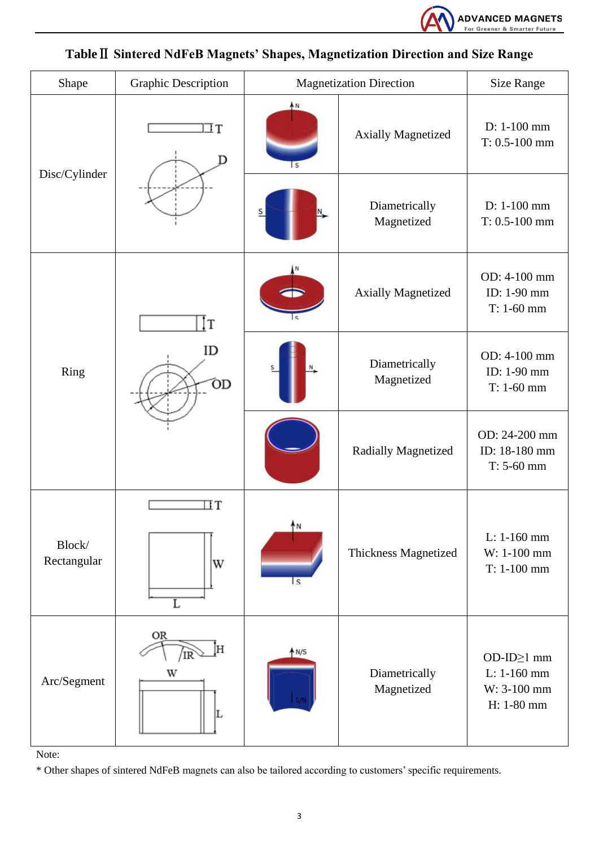

| Shape                 | <b>Graphic Description</b>             | <b>Magnetization Direction</b> | <b>Size Range</b>           |                                                        |
|-----------------------|----------------------------------------|--------------------------------|-----------------------------|--------------------------------------------------------|
|                       | IΤ<br>D                                | AN<br>l S                      | <b>Axially Magnetized</b>   | D: 1-100 mm<br>$T: 0.5-100$ mm                         |
| Disc/Cylinder         |                                        |                                | Diametrically<br>Magnetized | D: 1-100 mm<br>$T: 0.5-100$ mm                         |
|                       | İТ                                     |                                | <b>Axially Magnetized</b>   | OD: 4-100 mm<br>ID: 1-90 mm<br>$T: 1-60$ mm            |
| Ring                  | ID<br>ÓD                               | Diametrically<br>Magnetized    |                             | OD: 4-100 mm<br>ID: 1-90 mm<br>$T: 1-60$ mm            |
|                       |                                        |                                | Radially Magnetized         | OD: 24-200 mm<br>ID: 18-180 mm<br>$T: 5-60$ mm         |
| Block/<br>Rectangular | $\Box$ T<br>W<br>$\overline{\text{L}}$ | 'N<br>l s                      | Thickness Magnetized        | L: 1-160 mm<br>W: 1-100 mm<br>$T: 1-100$ mm            |
| Arc/Segment           | OR<br>Η<br>W                           | AN/S                           | Diametrically<br>Magnetized | OD-ID≥1 mm<br>L: 1-160 mm<br>W: 3-100 mm<br>H: 1-80 mm |

**Table**Ⅱ **Sintered NdFeB Magnets' Shapes, Magnetization Direction and Size Range**

Note:

\* Other shapes of sintered NdFeB magnets can also be tailored according to customers' specific requirements.